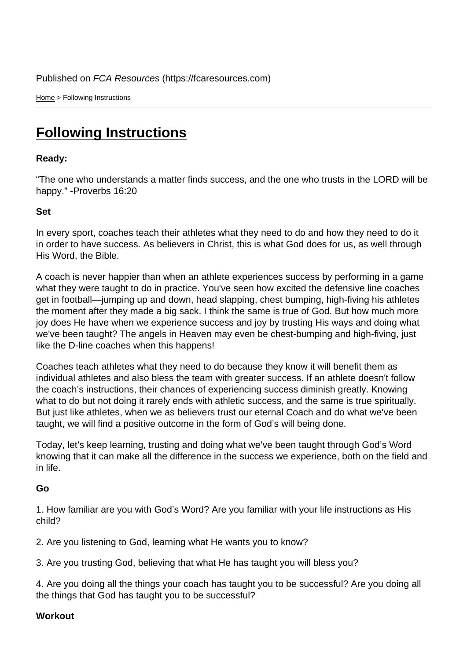Home > Following Instructions

## [Fol](https://fcaresources.com/)lowing Instructions

Ready:

["The one who understands a matter](https://fcaresources.com/devotional/following-instructions) finds success, and the one who trusts in the LORD will be happy." -Proverbs 16:20

Set

In every sport, coaches teach their athletes what they need to do and how they need to do it in order to have success. As believers in Christ, this is what God does for us, as well through His Word, the Bible.

A coach is never happier than when an athlete experiences success by performing in a game what they were taught to do in practice. You've seen how excited the defensive line coaches get in football—jumping up and down, head slapping, chest bumping, high-fiving his athletes the moment after they made a big sack. I think the same is true of God. But how much more joy does He have when we experience success and joy by trusting His ways and doing what we've been taught? The angels in Heaven may even be chest-bumping and high-fiving, just like the D-line coaches when this happens!

Coaches teach athletes what they need to do because they know it will benefit them as individual athletes and also bless the team with greater success. If an athlete doesn't follow the coach's instructions, their chances of experiencing success diminish greatly. Knowing what to do but not doing it rarely ends with athletic success, and the same is true spiritually. But just like athletes, when we as believers trust our eternal Coach and do what we've been taught, we will find a positive outcome in the form of God's will being done.

Today, let's keep learning, trusting and doing what we've been taught through God's Word knowing that it can make all the difference in the success we experience, both on the field and in life.

Go

1. How familiar are you with God's Word? Are you familiar with your life instructions as His child?

2. Are you listening to God, learning what He wants you to know?

3. Are you trusting God, believing that what He has taught you will bless you?

4. Are you doing all the things your coach has taught you to be successful? Are you doing all the things that God has taught you to be successful?

**Workout**